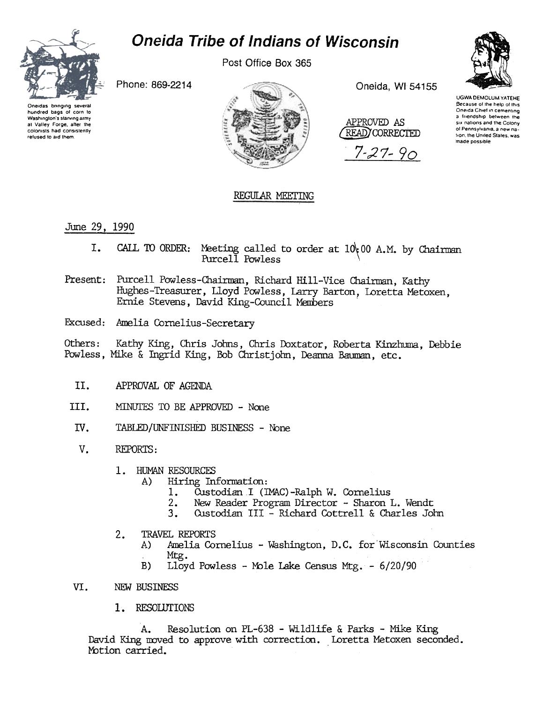

## **Oneida Tribe of Indians of Wisconsin**

Post Office Box 365

Phone: 869-2214

Oneidas bringing several hundred bags of corn to Washington's starving army at Valley Forge, after the colonists had consistently refused to aid them.



Oneida, WI 54155

APPROVED AS READ) CORRECTED

 $7 - 27 - 90$ 



**UGWA DEMOLUM YATEHE** Because of the help of this Oneida Chief in cementing a friendship between the six nations and the Colony of Pennsylvania, a new nation, the United States, was made possible

## REGULAR MEETING

June 29, 1990

- CALL TO ORDER: Meeting called to order at  $10(00 \text{ A.M.})$  by Chairman Purcell Powless I.
- Present: Purcell Powless-Chairman, Richard Hill-Vice Chairman, Kathy Hughes-Treasurer, Lloyd Powless, Larry Barton, Loretta Metoxen, Ernie Stevens, David King-Council Members
- Excused: Amelia Cornelius-Secretary

Kathy King, Chris Johns, Chris Doxtator, Roberta Kinzhuma, Debbie Others: Powless, Mike & Ingrid King, Bob Christjohn, Deanna Bauman, etc.

- II. APPROVAL OF AGENDA
- III. MINUTES TO BE APPROVED - None
- IV. TABLED/UNFINISHED BUSINESS - None
- $V_{\bullet}$ REPORTS:
	- HUMAN RESOURCES  $\mathbf{1}$ .
		- Hiring Information: A)
			- Custodian I (IMAC)-Ralph W. Cornelius  $1.$
			- New Reader Program Director Sharon L. Wendt  $2.$
			- $3.$ Custodian III - Richard Cottrell & Charles John
	- TRAVEL REPORTS  $2.$ 
		- Amelia Cornelius Washington, D.C. for Wisconsin Counties A) Mtg.
		- Lloyd Powless Mole Lake Census Mtg. 6/20/90 B)

## VI. NEW BUSINESS

1. RESOLUTIONS

Resolution on PL-638 - Wildlife & Parks - Mike King  $A_{\bullet}$ David King moved to approve with correction. Loretta Metoxen seconded. Motion carried.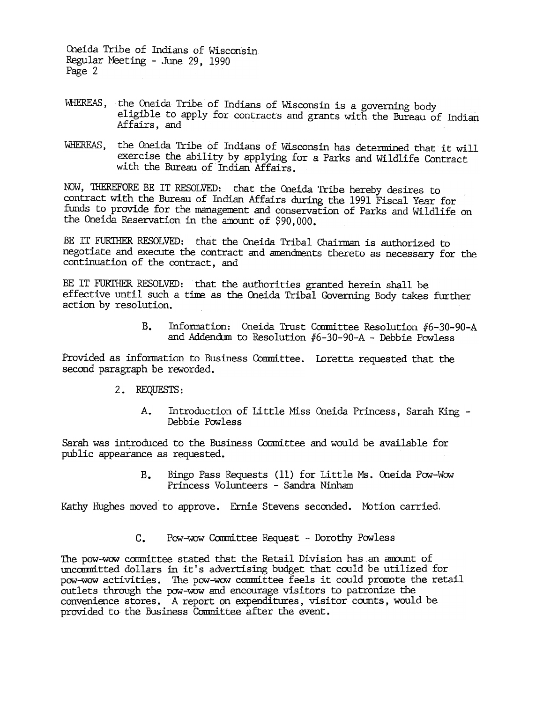Oneida Tribe of Indians of Wisconsin Regular Meeting -June 29, 1990 Page 2

- WHEREAS, the Oneida Tribe of Indians of Wisconsin is a governing body eligible to apply for contracts and grants with the BUreau of Indian Affairs, and
- WHEREAS, the Oneida Tribe of Indians of Wisconsin has determined that it will exercise the ability by applying for a Parks and Wildlife Contract with the Bureau of Indian Affairs.

NOW, THEREFORE BE IT RESOLVED: that the Oneida Tribe hereby desires to contract with the Bureau of Indian Affairs during the 1991 Fiscal Year for funds to provide for the mnagerent and conservation of Parks and Wildlife on the Oneida Reservation in the amount of  $$90,000$ .

BE IT FURTHER RESOLVED: that the Oneida Tribal Chairman is authorized to negotiate and execute the contract and amendments thereto as necessary for the continuation of the contract, and

BE IT FURTHER RESOLVED: that the authorities granted herein shall be effective until such a tine as the Cneida Tribal Governing Body takes further action by resolution.

> B. Information: Oneida Trust Committee Resolution #6-30-90-A and Addendum to Resolution  $#6-30-90-A$  - Debbie Powless

Provided as information to Business Committee. Loretta requested that the second paragraph be reworded.

- 2. REQUESTS :
	- A. Introduction of Little Miss Oneida Princess. Sarah King -Debbie Powless

Sarah was introduced to the Business Committee and would be available for public appearance as requested.

> B. Bingo Pass Requests (11) for Little Ms. Oneida Pow-Wow Princess Volunteers - Sandra Ninham

Kathy Hughes moved to approve. Ernie Stevens seconded. Motion carried.

C. Pow-wow Committee Request - Dorothy Powless

The pow-wow committee stated that the Retail Division has an amount of uncommitted dollars in it's advertising budget that could be utilized for pow-wow activities. The pow-wow committee feels it could promote the retail outlets through the pow-wow and encourage visitors to patronize the convenience stores. A report on expenditures, visitor counts, would be provided to the Business Conmittee after the event.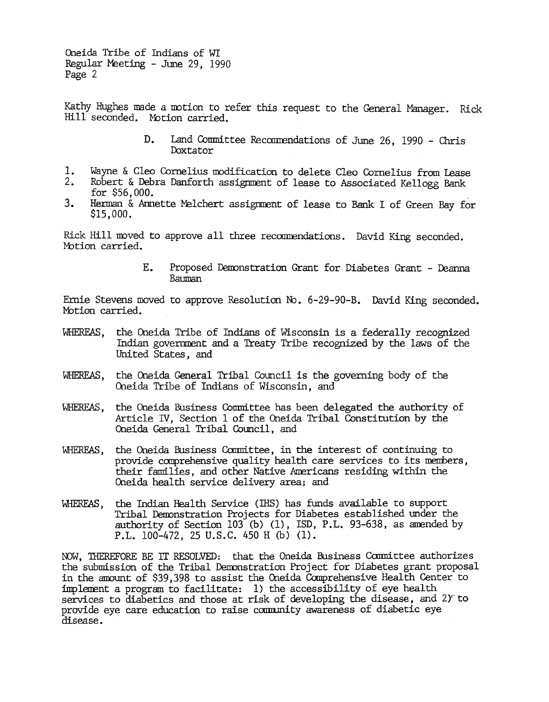Oneida Tribe of Indians of WI Regular Meeting -June 29, 1990 Page 2

Kathy Hughes made a motion to refer this request to the General Manager. Rick Hill seconded. Motion carried.

- Land Committee Recommendations of June 26, 1990 Chris D. Doxtator
- 1. Wayne & Cleo Cornelius modification to delete Cleo Cornelius from Lease
- 2. Robert & Debra Danforth assigrnrent of lease to Associated Kellogg Bank for  $$56,000$ .
- Herman & Annette Melchert assignment of lease to Bank I of Green Bay for  $3.$ \$15,000.

Rick Hill moved to approve all three recommendations. David King seconded. Motion carried.

> Е. Proposed Demonstration Grant for Diabetes Grant - Deanna Bauman

Ernie Stevens moved to approve Resolution No. 6-29-90-B. David King seconded. Motion carried.

- WHEREAS, the Oneida Tribe of Indians of Wisconsin is a federally recognized Indian government and a Treaty Tribe recognized by the laws of the United States, and
- WHEREAS, the Oneida General Tribal Council is the governing body of the Oneida Tribe of Indians of Wisconsin, and
- WHEREAS, the Oneida Business Committee has been delegated the authority of Article N, Section 1 of the Oneida Tribal Constitution by the Oneida General Tribal Council, and
- WHEREAS, the Oneida Business Committee, in the interest of continuing to provide canprehensive quality health care services to its members, their families, and other Native Americans residing within the Oneida health service delivery area; and
- WHEREAS, the Indian Health Service (IHS) has funds available to support Tribal Demonstration Projects for Diabetes established under the authority of Section 103 (b) (1), ISD, P.L. 93-638, as amended by P.L. 100-472, 25 U.S.C. 450 H (b) (1).

NOW, THEREFORE BE IT RESOLVED: that the Oneida Business Committee authorizes the submission of the Tribal Demonstration Project for Diabetes grant proposal in the amount of \$39,398 to assist the Oneida Comprehensive Health Center to implement a program to facilitate: 1) the accessibility of eye health services to diabetics and those at risk of developing the disease, and 2) to provide eye care education to raise carmmity awareness of diabetic eye disease.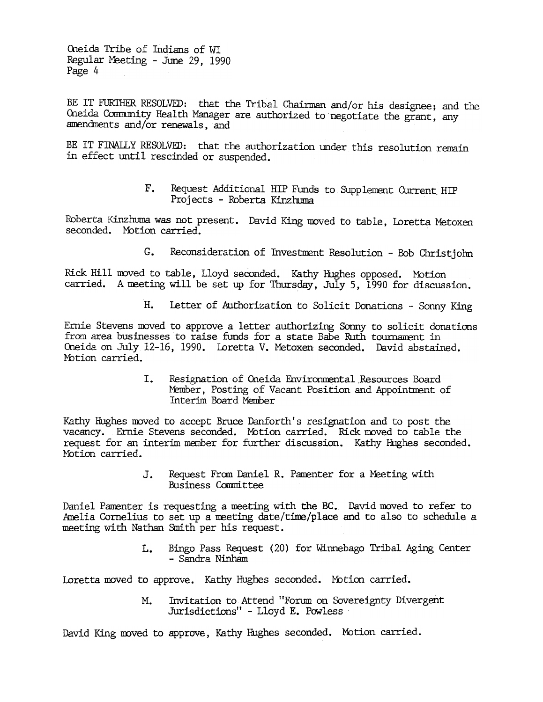Oneida Tribe of Indians of WI Regular Meeting -June 29, 1990 Page 4

BE IT FURTHER RESOLVED: that the Tribal Chairman and/or his designee; and the Oneida Community Health Manager are authorized to negotiate the grant, any amendments and/or renewals, and

BE IT FINALLY RESOLVED: that the authorization under this resolution remain in effect until rescinded or suspended.

> F. Request Additional HIP Funds to Supp lement Current HIP Projects - Roberta Kinzhuma

Roberta Kinzhuma was not present. David King moved to table, Loretta Metoxer seconded. Motion carried.

> $G_{\bullet}$ Reconsideration of Investment Resolution - Bob Christjohn

Rick Hill moved to table, Lloyd seconded. Kathy Hughes opposed. Motion carried. A meeting will be set up for Thursday, July 5, 1990 for discussion.

H. Ierter of Authorization to Solicit Donations - Sonny King<br>
Fram area businesses to raise funds for a state 3see Auth comment in<br>
force an outlier density Sonny to solicit donation<br>
(busion on Juby 12-16, 1990, invecta V Ernie Stevens moved to approve a letter authorizing Sonny to solicit donations from area businesses to raise funds for a state Babe Ruth tournament in Oneida on July 12-16, 1990. Loretta V. Metoxen seconded. David abstained. Motion carried.

Resignation of Oneida Environmental Resources Board Member, Posting of Vacant Position and Appointment of Interim Board Member

Kathy Hughes moved to accept Bruce Danforth's resignation and to post the vacancy. Ernie Stevens seconded. Motion carried. Rick moved to table the request for an interim member for further discussion. Kathy Hughes seconded. MOtion carried.

> Request From Daniel R. Pamenter for a Meeting with Business Committee

Daniel Pamenter is requesting a meeting with the BC. David moved to refer to Amelia Cornelius to set up a meeting date/time/place and to also to schedule a meeting with Nathan Smith per his request.

> L. Bingo Pass Request (20) for Winnebago Tribal Aging Center - Sandra Ninham

Loretta moved to approve. Kathy Hughes seconded. Motion carried.

Invitation to Attend "Forum on Sovereignty Divergent Jurisdictions" - Lloyd E. Powless

David King moved to approve, Kathy Hughes seconded. Motion carried.